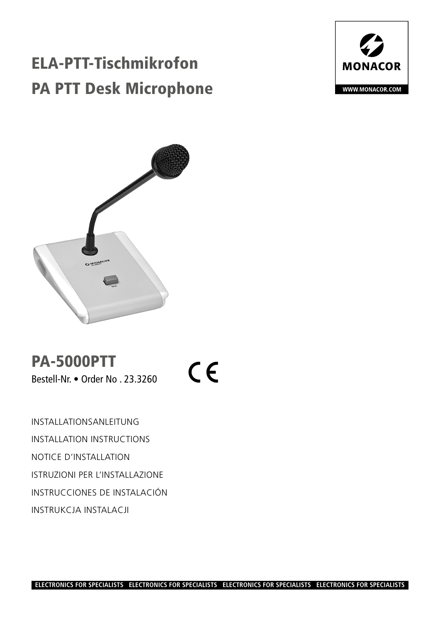# ELA-PTT-Tischmikrofon PA PTT Desk Microphone





PA-5000PTT Bestell-Nr. • Order No . 23.3260

 $C \in$ 

INSTALLATIONSANLEITUNG INSTALLATION INSTRUCTIONS NOTICE D'INSTALLATION ISTRUZIONI PER L'INSTALLAZIONE INSTRUCCIONES DE INSTALACIÓN INSTRUKCJA INSTALACJI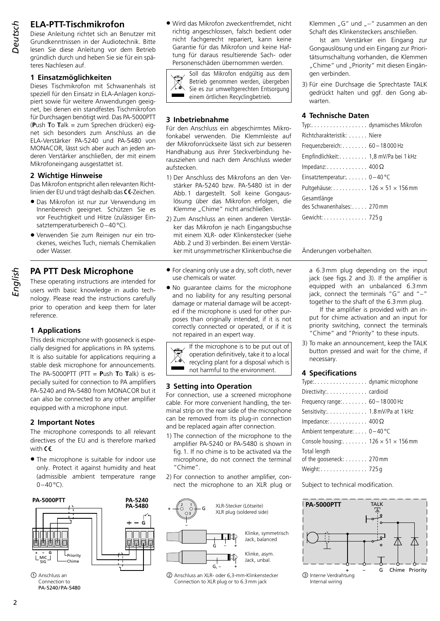# **ELA-PTT-Tischmikrofon**

2 *English Deutsch*

Diese Anleitung richtet sich an Benutzer mit Grundkenntnissen in der Audiotechnik. Bitte lesen Sie diese Anleitung vor dem Betrieb gründlich durch und heben Sie sie für ein späteres Nachlesen auf.

# **1 Einsatzmöglichkeiten**

Dieses Tischmikrofon mit Schwanenhals ist speziell für den Einsatz in ELA-Anlagen konzipiert sowie für weitere Anwendungen geeignet, bei denen ein standfestes Tischmikrofon für Durchsagen benötigt wird. Das PA-5000PTT (**P**ush **T**o **T**alk = zum Sprechen drücken) eignet sich besonders zum Anschluss an die ELA-Verstärker PA-5240 und PA-5480 von MONACOR, lässt sich aber auch an jeden anderen Verstärker anschließen, der mit einem Mikrofoneingang ausgestattet ist.

#### **2 Wichtige Hinweise**

Das Mikrofon entspricht allen relevanten Richtlinien der EU und trägt deshalb das CE-Zeichen.

- Das Mikrofon ist nur zur Verwendung im Innenbereich geeignet. Schützen Sie es vor Feuchtigkeit und Hitze (zulässiger Einsatztemperaturbereich 0–40°C).
- Verwenden Sie zum Reinigen nur ein trockenes, weiches Tuch, niemals Chemikalien oder Wasser.

# **PA PTT Desk Microphone**

These operating instructions are intended for users with basic knowledge in audio technology. Please read the instructions carefully prior to operation and keep them for later reference.

# **1 Applications**

This desk microphone with gooseneck is especially designed for applications in PA systems. It is also suitable for applications requiring a stable desk microphone for announcements. The PA-5000PTT (PTT = **P**ush **T**o **T**alk) is especially suited for connection to PA amplifiers PA-5240 and PA-5480 from MONACOR but it can also be connected to any other amplifier equipped with a microphone input.

# **2 Important Notes**

The microphone corresponds to all relevant directives of the EU and is therefore marked with  $\epsilon$ 

• The microphone is suitable for indoor use only. Protect it against humidity and heat (admissible ambient temperature range  $0-40$ °C).



Connection to PA-5240/PA-5480

• Wird das Mikrofon zweckentfremdet, nicht richtig angeschlossen, falsch bedient oder nicht fachgerecht repariert, kann keine Garantie für das Mikrofon und keine Haftung für daraus resultierende Sach- oder Personenschäden übernommen werden.



Soll das Mikrofon endgültig aus dem Betrieb genommen werden, übergeben Sie es zur umweltgerechten Entsorgung einem örtlichen Recyclingbetrieb.

#### **3 Inbetriebnahme**

Für den Anschluss ein abgeschirmtes Mikrofonkabel verwenden. Die Klemmleiste auf der Mikrofonrückseite lässt sich zur besseren Handhabung aus ihrer Steckverbindung herausziehen und nach dem Anschluss wieder aufstecken.

- 1) Der Anschluss des Mikrofons an den Verstärker PA-5240 bzw. PA-5480 ist in der Abb.1 dargestellt. Soll keine Gongauslösung über das Mikrofon erfolgen, die Klemme "Chime" nicht anschließen.
- 2) Zum Anschluss an einen anderen Verstärker das Mikrofon je nach Eingangsbuchse mit einem XLR- oder Klinkenstecker (siehe Abb.2 und 3) verbinden. Bei einem Verstärker mit unsymmetrischer Klinkenbuchse die
- For cleaning only use a dry, soft cloth, never use chemicals or water.
- No quarantee claims for the microphone and no liability for any resulting personal damage or material damage will be accepted if the microphone is used for other purposes than originally intended, if it is not correctly connected or operated, or if it is not repaired in an expert way.

If the microphone is to be put out of  $\boxtimes$ operation definitively, take it to a local recycling plant for a disposal which is  $\mathbf{r}$ not harmful to the environment.

#### **3 Setting into Operation**

For connection, use a screened microphone cable. For more convenient handling, the terminal strip on the rear side of the microphone can be removed from its plug-in connection and be replaced again after connection.

- 1) The connection of the microphone to the amplifier PA-5240 or PA-5480 is shown in fig.1. If no chime is to be activated via the microphone, do not connect the terminal "Chime".
- 2) For connection to another amplifier, connect the microphone to an XLR plug or



② Anschluss an XLR- oder 6,3-mm-Klinkenstecker Connection to XLR plug or to 6.3mm jack

Klemmen "G" und "−" zusammen an den Schaft des Klinkensteckers anschließen.

Ist am Verstärker ein Eingang zur Gongauslösung und ein Eingang zur Prioritätsumschaltung vorhanden, die Klemmen "Chime" und "Priority" mit diesen Eingängen verbinden.

3) Für eine Durchsage die Sprechtaste TALK gedrückt halten und ggf. den Gong abwarten.

# **4 Technische Daten**

| Typ:. dynamisches Mikrofor                          |  |
|-----------------------------------------------------|--|
| Richtcharakteristik: Niere                          |  |
| Frequenzbereich: $\dots \dots \dots$ 60 – 18 000 Hz |  |
| Empfindlichkeit: 1,8 mV/Pa bei 1 kHz                |  |
| Impedanz: $\dots$ 400 $\Omega$                      |  |
| Einsatztemperatur: $\ldots \ldots 0-40$ °C          |  |
| Pultgehäuse: 126 $\times$ 51 $\times$ 156 mm        |  |
| Gesamtlänge                                         |  |
| des Schwanenhalses: 270 mm                          |  |
| Gewicht: 725 q                                      |  |
|                                                     |  |

Änderungen vorbehalten.

a 6.3mm plug depending on the input jack (see figs.2 and 3). If the amplifier is equipped with an unbalanced 6.3mm jack, connect the terminals "G" and "−" together to the shaft of the 6.3mm plug.

If the amplifier is provided with an input for chime activation and an input for priority switching, connect the terminals "Chime" and "Priority" to these inputs.

3) To make an announcement, keep the TALK button pressed and wait for the chime, if necessary.

# **4 Specifications**

| Type: dynamic microphone                         |  |
|--------------------------------------------------|--|
| Directivity: cardioid                            |  |
| Frequency range: $\dots \dots 60-18000$ Hz       |  |
| Sensitivity: 1.8 mV/Pa at 1 kHz                  |  |
| Impedance: $\dots \dots \dots \dots 400 \Omega$  |  |
| Ambient temperature: 0-40 °C                     |  |
| Console housing: 126 $\times$ 51 $\times$ 156 mm |  |
| Total length                                     |  |
| of the gooseneck: 270 mm                         |  |
| Weight: 725g                                     |  |

Subject to technical modification.

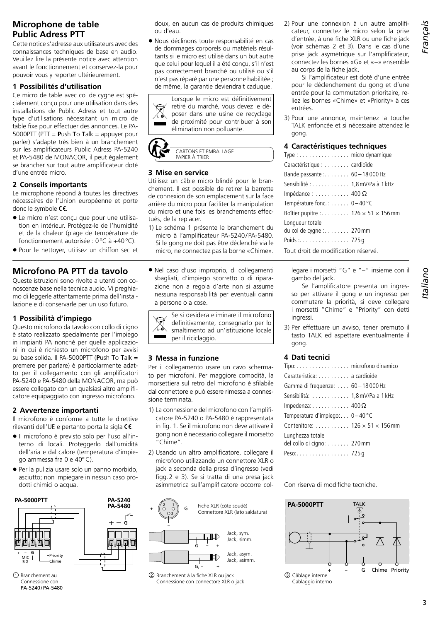# **Microphone de table Public Adress PTT**

Cette notice s'adresse aux utilisateurs avec des connaissances techniques de base en audio. Veuillez lire la présente notice avec attention avant le fonctionnement et conservez-la pour pouvoir vous y reporter ultérieurement.

#### **1 Possibilités d'utilisation**

Ce micro de table avec col de cygne est spécialement conçu pour une utilisation dans des installations de Public Adress et tout autre type d'utilisations nécessitant un micro de table fixe pour effectuer des annonces. Le PA-5000PTT (PTT = **P**ush **T**o **T**alk = appuyer pour parler) s'adapte très bien à un branchement sur les amplificateurs Public Adress PA-5240 et PA-5480 de MONACOR, il peut également se brancher sur tout autre amplificateur doté d'une entrée micro.

# **2 Conseils importants**

Le microphone répond à toutes les directives nécessaires de l'Union européenne et porte donc le symbole  $\mathsf{CE}$ .

- Le micro n'est conçu que pour une utilisation en intérieur. Protégez-le de l'humidité et de la chaleur (plage de température de fonctionnement autorisée : 0°C à +40°C).
- Pour le nettoyer, utilisez un chiffon sec et

# **Microfono PA PTT da tavolo**

Queste istruzioni sono rivolte a utenti con conoscenze base nella tecnica audio. Vi preghiamo di leggerle attentamente prima dell'installazione e di conservarle per un uso futuro.

# **1 Possibilità d'impiego**

Questo microfono da tavolo con collo di cigno è stato realizzato specialmente per l'impiego in impianti PA nonché per quelle applicazioni in cui è richiesto un microfono per avvisi su base solida. Il PA-5000PTT (**P**ush **T**o **T**alk = premere per parlare) è particolarmente adatto per il collegamento con gli amplificatori PA-5240 e PA-5480 della MONACOR, ma può essere collegato con un qualsiasi altro amplificatore equipaggiato con ingresso microfono.

# **2 Avvertenze importanti**

Il microfono è conforme a tutte le direttive rilevanti dell'UE e pertanto porta la sigla  $\mathsf{CE}$ .

- Il microfono è previsto solo per l'uso all'interno di locali. Proteggerlo dall'umidità dell'aria e dal calore (temperatura d'impiego ammessa fra 0 e 40°C).
- Per la pulizia usare solo un panno morbido, asciutto; non impiegare in nessun caso prodotti chimici o acqua.



① Branchement au Connessione con PA-5240/PA-5480 doux, en aucun cas de produits chimiques ou d'eau.

• Nous déclinons toute responsabilité en cas de dommages corporels ou matériels résultants si le micro est utilisé dans un but autre que celui pour lequel il a été conçu, s'il n'est pas correctement branché ou utilisé ou s'il n'est pas réparé par une personne habilitée ; de même, la garantie deviendrait caduque.





#### **3 Mise en service**

Utilisez un câble micro blindé pour le branchement. Il est possible de retirer la barrette de connexion de son emplacement sur la face arrière du micro pour faciliter la manipulation du micro et une fois les branchements effectués, de la replacer.

- 1) Le schéma 1 présente le branchement du micro à l'amplificateur PA-5240/PA-5480. Si le gong ne doit pas être déclenché via le micro, ne connectez pas la borne «Chime».
- Nel caso d'uso improprio, di collegamenti sbagliati, d'impiego scorretto o di riparazione non a regola d'arte non si assume nessuna responsabilità per eventuali danni a persone o a cose.

Se si desidera eliminare il microfono definitivamente, consegnarlo per lo smaltimento ad un'istituzione locale per il riciclaggio.

# **3 Messa in funzione**

Per il collegamento usare un cavo schermato per microfoni. Per maggiore comodità, la morsettiera sul retro del microfono è sfilabile dal connettore e può essere rimessa a connessione terminata.

- 1) La connessione del microfono con l'amplificatore PA-5240 o PA-5480 è rappresentata in fig. 1. Se il microfono non deve attivare il gong non è necessario collegare il morsetto "Chime".
- 2) Usando un altro amplificatore, collegare il microfono utilizzando un connettore XLR o jack a seconda della presa d'ingresso (vedi figg.2 e 3). Se si tratta di una presa jack asimmetrica sull'amplificatore occorre col-



② Branchement à la fiche XLR ou jack Connessione con connectore XLR o jack 2) Pour une connexion à un autre amplificateur, connectez le micro selon la prise d'entrée, à une fiche XLR ou une fiche jack (voir schémas 2 et 3). Dans le cas d'une prise jack asymétrique sur l'amplificateur, connectez les bornes «G» et «−» ensemble au corps de la fiche jack.

Si l'amplificateur est doté d'une entrée pour le déclenchement du gong et d'une entrée pour la commutation prioritaire, reliez les bornes «Chime» et «Priority» à ces entrées.

3) Pour une annonce, maintenez la touche TALK enfoncée et si nécessaire attendez le gong.

#### **4 Caractéristiques techniques**

| Type: micro dynamique                             |
|---------------------------------------------------|
| Caractéristique : cardioïde                       |
| Bande passante : 60-18 000 Hz                     |
| Sensibilité : 1,8 mV/Pa à 1 kHz                   |
| Impédance : $\dots\dots\dots$ 400 $\Omega$        |
| Température fonc.: $0-40^{\circ}$ C               |
| Boîtier pupitre : 126 $\times$ 51 $\times$ 156 mm |
| Longueur totale                                   |
| du col de cygne : 270 mm                          |
|                                                   |
| Tout droit de modification réservé.               |

legare i morsetti "G" e "−" insieme con il gambo del jack.

Se l'amplificatore presenta un ingresso per attivare il gong e un ingresso per commutare la priorità, si deve collegare i morsetti "Chime" e "Priority" con detti ingressi.

3) Per effettuare un avviso, tener premuto il tasto TALK ed aspettare eventualmente il gong.

# **4 Dati tecnici**

| Tipo: microfono dinamico                          |
|---------------------------------------------------|
| Caratteristica: a cardioide                       |
| Gamma di frequenze:  60 - 18 000 Hz               |
| Sensibilità: 1,8 mV/Pa a 1 kHz                    |
| Impedenza: $\dots \dots \dots \dots$ 400 $\Omega$ |
| Temperatura d'impiego: $0-40^{\circ}$ C           |
| Contenitore: $126 \times 51 \times 156$ mm        |
| Lunghezza totale                                  |
| del collo di cigno: 270 mm                        |
| Peso:725 q                                        |

Con riserva di modifiche tecniche.